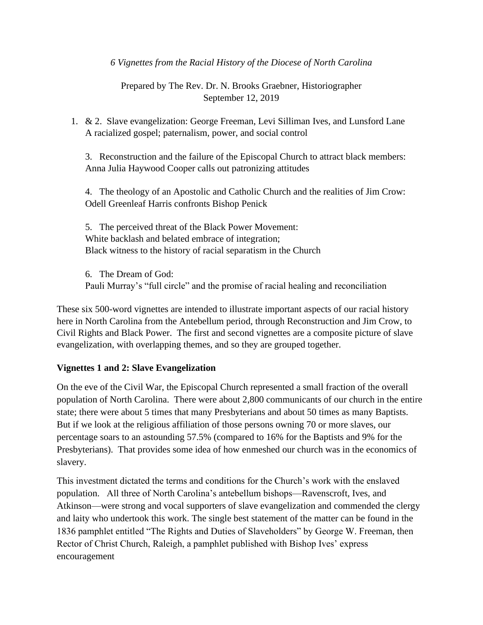*6 Vignettes from the Racial History of the Diocese of North Carolina*

Prepared by The Rev. Dr. N. Brooks Graebner, Historiographer September 12, 2019

1. & 2. Slave evangelization: George Freeman, Levi Silliman Ives, and Lunsford Lane A racialized gospel; paternalism, power, and social control

3. Reconstruction and the failure of the Episcopal Church to attract black members: Anna Julia Haywood Cooper calls out patronizing attitudes

4. The theology of an Apostolic and Catholic Church and the realities of Jim Crow: Odell Greenleaf Harris confronts Bishop Penick

5. The perceived threat of the Black Power Movement: White backlash and belated embrace of integration; Black witness to the history of racial separatism in the Church

6. The Dream of God: Pauli Murray's "full circle" and the promise of racial healing and reconciliation

These six 500-word vignettes are intended to illustrate important aspects of our racial history here in North Carolina from the Antebellum period, through Reconstruction and Jim Crow, to Civil Rights and Black Power. The first and second vignettes are a composite picture of slave evangelization, with overlapping themes, and so they are grouped together.

# **Vignettes 1 and 2: Slave Evangelization**

On the eve of the Civil War, the Episcopal Church represented a small fraction of the overall population of North Carolina. There were about 2,800 communicants of our church in the entire state; there were about 5 times that many Presbyterians and about 50 times as many Baptists. But if we look at the religious affiliation of those persons owning 70 or more slaves, our percentage soars to an astounding 57.5% (compared to 16% for the Baptists and 9% for the Presbyterians). That provides some idea of how enmeshed our church was in the economics of slavery.

This investment dictated the terms and conditions for the Church's work with the enslaved population. All three of North Carolina's antebellum bishops—Ravenscroft, Ives, and Atkinson—were strong and vocal supporters of slave evangelization and commended the clergy and laity who undertook this work. The single best statement of the matter can be found in the 1836 pamphlet entitled "The Rights and Duties of Slaveholders" by George W. Freeman, then Rector of Christ Church, Raleigh, a pamphlet published with Bishop Ives' express encouragement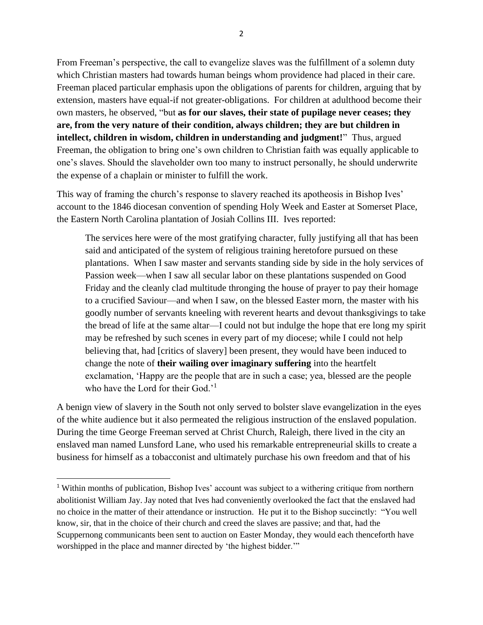From Freeman's perspective, the call to evangelize slaves was the fulfillment of a solemn duty which Christian masters had towards human beings whom providence had placed in their care. Freeman placed particular emphasis upon the obligations of parents for children, arguing that by extension, masters have equal-if not greater-obligations. For children at adulthood become their own masters, he observed, "but **as for our slaves, their state of pupilage never ceases; they are, from the very nature of their condition, always children; they are but children in intellect, children in wisdom, children in understanding and judgment!**" Thus, argued Freeman, the obligation to bring one's own children to Christian faith was equally applicable to one's slaves. Should the slaveholder own too many to instruct personally, he should underwrite the expense of a chaplain or minister to fulfill the work.

This way of framing the church's response to slavery reached its apotheosis in Bishop Ives' account to the 1846 diocesan convention of spending Holy Week and Easter at Somerset Place, the Eastern North Carolina plantation of Josiah Collins III. Ives reported:

The services here were of the most gratifying character, fully justifying all that has been said and anticipated of the system of religious training heretofore pursued on these plantations. When I saw master and servants standing side by side in the holy services of Passion week—when I saw all secular labor on these plantations suspended on Good Friday and the cleanly clad multitude thronging the house of prayer to pay their homage to a crucified Saviour—and when I saw, on the blessed Easter morn, the master with his goodly number of servants kneeling with reverent hearts and devout thanksgivings to take the bread of life at the same altar—I could not but indulge the hope that ere long my spirit may be refreshed by such scenes in every part of my diocese; while I could not help believing that, had [critics of slavery] been present, they would have been induced to change the note of **their wailing over imaginary suffering** into the heartfelt exclamation, 'Happy are the people that are in such a case; yea, blessed are the people who have the Lord for their God.'<sup>1</sup>

A benign view of slavery in the South not only served to bolster slave evangelization in the eyes of the white audience but it also permeated the religious instruction of the enslaved population. During the time George Freeman served at Christ Church, Raleigh, there lived in the city an enslaved man named Lunsford Lane, who used his remarkable entrepreneurial skills to create a business for himself as a tobacconist and ultimately purchase his own freedom and that of his

<sup>1</sup> Within months of publication, Bishop Ives' account was subject to a withering critique from northern abolitionist William Jay. Jay noted that Ives had conveniently overlooked the fact that the enslaved had no choice in the matter of their attendance or instruction. He put it to the Bishop succinctly: "You well know, sir, that in the choice of their church and creed the slaves are passive; and that, had the Scuppernong communicants been sent to auction on Easter Monday, they would each thenceforth have worshipped in the place and manner directed by 'the highest bidder.'"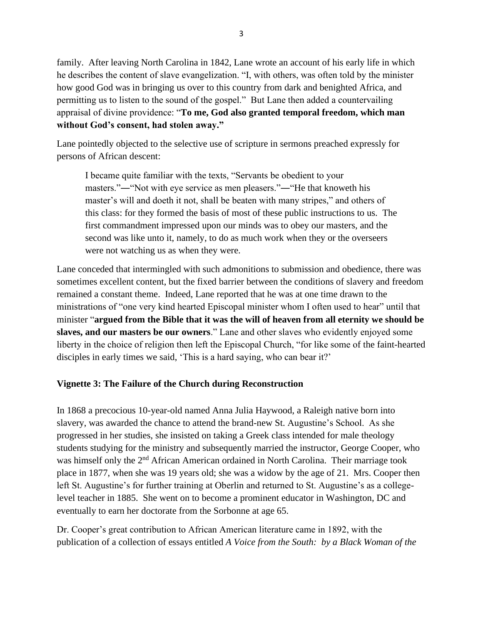family. After leaving North Carolina in 1842, Lane wrote an account of his early life in which he describes the content of slave evangelization. "I, with others, was often told by the minister how good God was in bringing us over to this country from dark and benighted Africa, and permitting us to listen to the sound of the gospel." But Lane then added a countervailing appraisal of divine providence: "**To me, God also granted temporal freedom, which man without God's consent, had stolen away."**

Lane pointedly objected to the selective use of scripture in sermons preached expressly for persons of African descent:

I became quite familiar with the texts, "Servants be obedient to your masters."―"Not with eye service as men pleasers."―"He that knoweth his master's will and doeth it not, shall be beaten with many stripes," and others of this class: for they formed the basis of most of these public instructions to us. The first commandment impressed upon our minds was to obey our masters, and the second was like unto it, namely, to do as much work when they or the overseers were not watching us as when they were.

Lane conceded that intermingled with such admonitions to submission and obedience, there was sometimes excellent content, but the fixed barrier between the conditions of slavery and freedom remained a constant theme. Indeed, Lane reported that he was at one time drawn to the ministrations of "one very kind hearted Episcopal minister whom I often used to hear" until that minister "**argued from the Bible that it was the will of heaven from all eternity we should be slaves, and our masters be our owners**." Lane and other slaves who evidently enjoyed some liberty in the choice of religion then left the Episcopal Church, "for like some of the faint-hearted disciples in early times we said, 'This is a hard saying, who can bear it?'

# **Vignette 3: The Failure of the Church during Reconstruction**

In 1868 a precocious 10-year-old named Anna Julia Haywood, a Raleigh native born into slavery, was awarded the chance to attend the brand-new St. Augustine's School. As she progressed in her studies, she insisted on taking a Greek class intended for male theology students studying for the ministry and subsequently married the instructor, George Cooper, who was himself only the 2<sup>nd</sup> African American ordained in North Carolina. Their marriage took place in 1877, when she was 19 years old; she was a widow by the age of 21. Mrs. Cooper then left St. Augustine's for further training at Oberlin and returned to St. Augustine's as a collegelevel teacher in 1885. She went on to become a prominent educator in Washington, DC and eventually to earn her doctorate from the Sorbonne at age 65.

Dr. Cooper's great contribution to African American literature came in 1892, with the publication of a collection of essays entitled *A Voice from the South: by a Black Woman of the*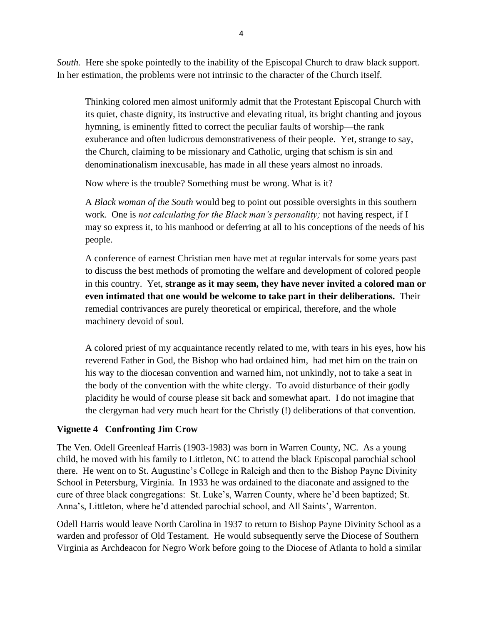*South.* Here she spoke pointedly to the inability of the Episcopal Church to draw black support. In her estimation, the problems were not intrinsic to the character of the Church itself.

Thinking colored men almost uniformly admit that the Protestant Episcopal Church with its quiet, chaste dignity, its instructive and elevating ritual, its bright chanting and joyous hymning, is eminently fitted to correct the peculiar faults of worship—the rank exuberance and often ludicrous demonstrativeness of their people. Yet, strange to say, the Church, claiming to be missionary and Catholic, urging that schism is sin and denominationalism inexcusable, has made in all these years almost no inroads.

Now where is the trouble? Something must be wrong. What is it?

A *Black woman of the South* would beg to point out possible oversights in this southern work. One is *not calculating for the Black man's personality;* not having respect, if I may so express it, to his manhood or deferring at all to his conceptions of the needs of his people.

A conference of earnest Christian men have met at regular intervals for some years past to discuss the best methods of promoting the welfare and development of colored people in this country. Yet, **strange as it may seem, they have never invited a colored man or even intimated that one would be welcome to take part in their deliberations.** Their remedial contrivances are purely theoretical or empirical, therefore, and the whole machinery devoid of soul.

A colored priest of my acquaintance recently related to me, with tears in his eyes, how his reverend Father in God, the Bishop who had ordained him, had met him on the train on his way to the diocesan convention and warned him, not unkindly, not to take a seat in the body of the convention with the white clergy. To avoid disturbance of their godly placidity he would of course please sit back and somewhat apart. I do not imagine that the clergyman had very much heart for the Christly (!) deliberations of that convention.

# **Vignette 4 Confronting Jim Crow**

The Ven. Odell Greenleaf Harris (1903-1983) was born in Warren County, NC. As a young child, he moved with his family to Littleton, NC to attend the black Episcopal parochial school there. He went on to St. Augustine's College in Raleigh and then to the Bishop Payne Divinity School in Petersburg, Virginia. In 1933 he was ordained to the diaconate and assigned to the cure of three black congregations: St. Luke's, Warren County, where he'd been baptized; St. Anna's, Littleton, where he'd attended parochial school, and All Saints', Warrenton.

Odell Harris would leave North Carolina in 1937 to return to Bishop Payne Divinity School as a warden and professor of Old Testament. He would subsequently serve the Diocese of Southern Virginia as Archdeacon for Negro Work before going to the Diocese of Atlanta to hold a similar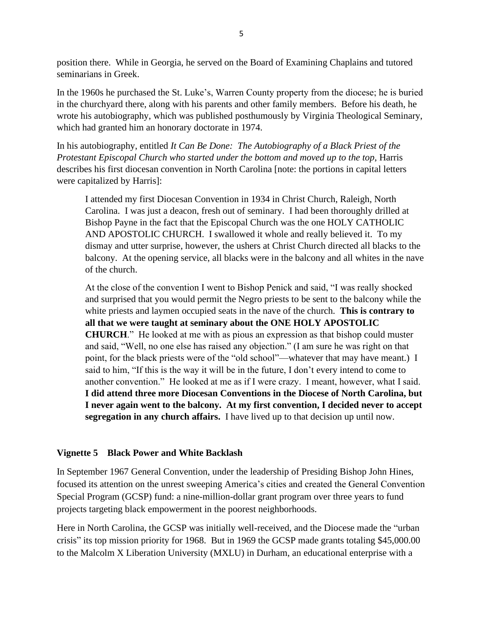position there. While in Georgia, he served on the Board of Examining Chaplains and tutored seminarians in Greek.

In the 1960s he purchased the St. Luke's, Warren County property from the diocese; he is buried in the churchyard there, along with his parents and other family members. Before his death, he wrote his autobiography, which was published posthumously by Virginia Theological Seminary, which had granted him an honorary doctorate in 1974.

In his autobiography, entitled *It Can Be Done: The Autobiography of a Black Priest of the Protestant Episcopal Church who started under the bottom and moved up to the top*, Harris describes his first diocesan convention in North Carolina [note: the portions in capital letters were capitalized by Harris]:

I attended my first Diocesan Convention in 1934 in Christ Church, Raleigh, North Carolina. I was just a deacon, fresh out of seminary. I had been thoroughly drilled at Bishop Payne in the fact that the Episcopal Church was the one HOLY CATHOLIC AND APOSTOLIC CHURCH. I swallowed it whole and really believed it. To my dismay and utter surprise, however, the ushers at Christ Church directed all blacks to the balcony. At the opening service, all blacks were in the balcony and all whites in the nave of the church.

At the close of the convention I went to Bishop Penick and said, "I was really shocked and surprised that you would permit the Negro priests to be sent to the balcony while the white priests and laymen occupied seats in the nave of the church. **This is contrary to all that we were taught at seminary about the ONE HOLY APOSTOLIC CHURCH**." He looked at me with as pious an expression as that bishop could muster and said, "Well, no one else has raised any objection." (I am sure he was right on that point, for the black priests were of the "old school"—whatever that may have meant.) I said to him, "If this is the way it will be in the future, I don't every intend to come to another convention." He looked at me as if I were crazy. I meant, however, what I said. **I did attend three more Diocesan Conventions in the Diocese of North Carolina, but I never again went to the balcony. At my first convention, I decided never to accept segregation in any church affairs.** I have lived up to that decision up until now.

## **Vignette 5 Black Power and White Backlash**

In September 1967 General Convention, under the leadership of Presiding Bishop John Hines, focused its attention on the unrest sweeping America's cities and created the General Convention Special Program (GCSP) fund: a nine-million-dollar grant program over three years to fund projects targeting black empowerment in the poorest neighborhoods.

Here in North Carolina, the GCSP was initially well-received, and the Diocese made the "urban crisis" its top mission priority for 1968. But in 1969 the GCSP made grants totaling \$45,000.00 to the Malcolm X Liberation University (MXLU) in Durham, an educational enterprise with a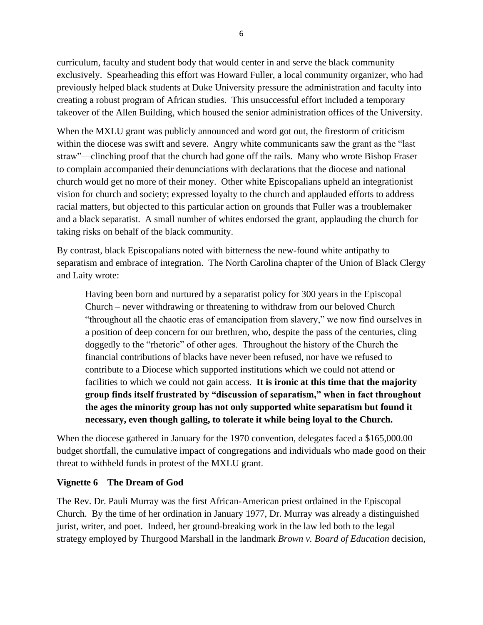curriculum, faculty and student body that would center in and serve the black community exclusively. Spearheading this effort was Howard Fuller, a local community organizer, who had previously helped black students at Duke University pressure the administration and faculty into creating a robust program of African studies. This unsuccessful effort included a temporary takeover of the Allen Building, which housed the senior administration offices of the University.

When the MXLU grant was publicly announced and word got out, the firestorm of criticism within the diocese was swift and severe. Angry white communicants saw the grant as the "last straw"—clinching proof that the church had gone off the rails. Many who wrote Bishop Fraser to complain accompanied their denunciations with declarations that the diocese and national church would get no more of their money. Other white Episcopalians upheld an integrationist vision for church and society; expressed loyalty to the church and applauded efforts to address racial matters, but objected to this particular action on grounds that Fuller was a troublemaker and a black separatist. A small number of whites endorsed the grant, applauding the church for taking risks on behalf of the black community.

By contrast, black Episcopalians noted with bitterness the new-found white antipathy to separatism and embrace of integration. The North Carolina chapter of the Union of Black Clergy and Laity wrote:

Having been born and nurtured by a separatist policy for 300 years in the Episcopal Church – never withdrawing or threatening to withdraw from our beloved Church "throughout all the chaotic eras of emancipation from slavery," we now find ourselves in a position of deep concern for our brethren, who, despite the pass of the centuries, cling doggedly to the "rhetoric" of other ages. Throughout the history of the Church the financial contributions of blacks have never been refused, nor have we refused to contribute to a Diocese which supported institutions which we could not attend or facilities to which we could not gain access. **It is ironic at this time that the majority group finds itself frustrated by "discussion of separatism," when in fact throughout the ages the minority group has not only supported white separatism but found it necessary, even though galling, to tolerate it while being loyal to the Church.**

When the diocese gathered in January for the 1970 convention, delegates faced a \$165,000.00 budget shortfall, the cumulative impact of congregations and individuals who made good on their threat to withheld funds in protest of the MXLU grant.

## **Vignette 6 The Dream of God**

The Rev. Dr. Pauli Murray was the first African-American priest ordained in the Episcopal Church. By the time of her ordination in January 1977, Dr. Murray was already a distinguished jurist, writer, and poet. Indeed, her ground-breaking work in the law led both to the legal strategy employed by Thurgood Marshall in the landmark *Brown v. Board of Education* decision,